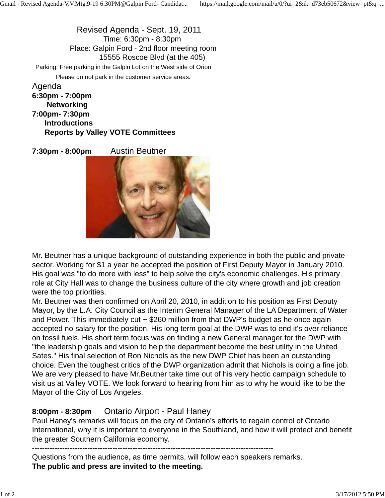Revised Agenda - Sept. 19, 2011 Time: 6:30pm - 8:30pm Place: Galpin Ford - 2nd floor meeting room 15555 Roscoe Blvd (at the 405) Parking: Free parking in the Galpin Lot on the West side of Orion Please do not park in the customer service areas. Agenda

**6:30pm - 7:00pm Networking 7:00pm- 7:30pm Introductions Reports by Valley VOTE Committees**

**7:30pm - 8:00pm** Austin Beutner



Mr. Beutner has a unique background of outstanding experience in both the public and private sector. Working for \$1 a year he accepted the position of First Deputy Mayor in January 2010. His goal was "to do more with less" to help solve the city's economic challenges. His primary role at City Hall was to change the business culture of the city where growth and job creation were the top priorities.

Mr. Beutner was then confirmed on April 20, 2010, in addition to his position as First Deputy Mayor, by the L.A. City Council as the Interim General Manager of the LA Department of Water and Power. This immediately cut  $\sim$  \$260 million from that DWP's budget as he once again accepted no salary for the position. His long term goal at the DWP was to end it's over reliance on fossil fuels. His short term focus was on finding a new General manager for the DWP with "the leadership goals and vision to help the department become the best utility in the United Sates." His final selection of Ron Nichols as the new DWP Chief has been an outstanding choice. Even the toughest critics of the DWP organization admit that Nichols is doing a fine job. We are very pleased to have Mr.Beutner take time out of his very hectic campaign schedule to visit us at Valley VOTE. We look forward to hearing from him as to why he would like to be the Mayor of the City of Los Angeles.

## **8:00pm - 8:30pm** Ontario Airport - Paul Haney

Paul Haney's remarks will focus on the city of Ontario's efforts to regain control of Ontario International, why it is important to everyone in the Southland, and how it will protect and benefit the greater Southern California economy.

------------------------------------------------------------------------------------------------

Questions from the audience, as time permits, will follow each speakers remarks. **The public and press are invited to the meeting.**